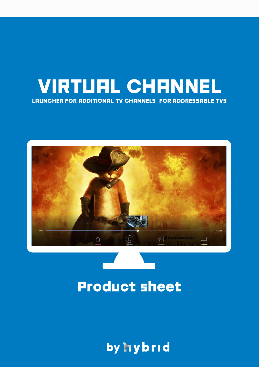## VIRTUAL CHANNEL LAUNCHER FOR ADDITIONAL TV CHANNELS FOR ADDRESSABLE TVS



# Product sheet

by hybrid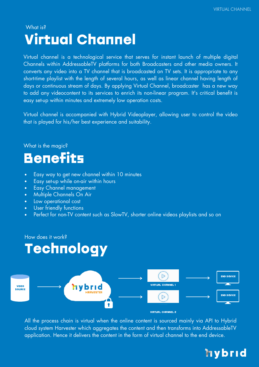### Virtual Channel What is?

Virtual channel is a technological service that serves for instant launch of multiple digital Channels within AddressableTV platforms for both Broadcasters and other media owners. It converts any video into a TV channel that is broadcasted on TV sets. It is appropriate to any short-time playlist with the length of several hours, as well as linear channel having length of days or continuous stream of days. By applying Virtual Channel, broadcaster has a new way to add any videocontent to its services to enrich its non-linear program. It's critical benefit is easy set-up within minutes and extremely low operation costs.

Virtual channel is accompanied with Hybrid Videoplayer, allowing user to control the video that is played for his/her best experience and suitability.

What is the magic?

# **Benefits**

- Easy way to get new channel within 10 minutes  $\bullet$
- Easy set-up while on-air within hours  $\bullet$
- Easy Channel management  $\bullet$
- Multiple Channels On Air
- Low operational cost  $\bullet$
- User friendly functions
- Perfect for non-TV content such as SlowTV, shorter online videos playlists and so on  $\bullet$

How does it work?

# **Technology**



All the process chain is virtual when the online content is sourced mainly via API to Hybrid cloud system Harvester which aggregates the content and then transforms into AddressableTV application. Hence it delivers the content in the form of virtual channel to the end device.

## hybrid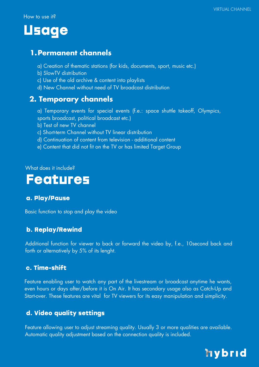How to use it?

## Usage

#### **1.Permanent channels**

- a) Creation of thematic stations (for kids, documents, sport, music etc.)
- b) SlowTV distribution
- c) Use of the old archive & content into playlists
- d) New Channel without need of TV broadcast distribution

#### **2. Temporary channels**

- a) Temporary events for special events (f.e.: space shuttle takeoff, Olympics, sports broadcast, political broadcast etc.)
- b) Test of new TV channel
- c) Short-term Channel without TV linear distribution
- d) Continuation of content from television additional content
- e) Content that did not fit on the TV or has limited Target Group

What does it include?

### Features

#### a. Play/Pause

Basic function to stop and play the video

#### b. Replay/Rewind

Additional function for viewer to back or forward the video by, f.e., 10second back and forth or alternatively by 5% of its lenght.

#### c. Time-shift

Feature enabling user to watch any part of the livestream or broadcast anytime he wants, even hours or days after/before it is On Air. It has secondary usage also as Catch-Up and Start-over. These features are vital for TV viewers for its easy manipulation and simplicity.

#### d. Video quality settings

Feature allowing user to adjust streaming quality. Usually 3 or more qualities are available. Automatic quality adjustment based on the connection quality is included.

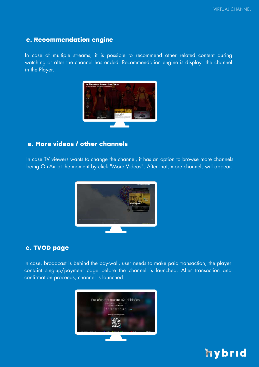#### e. Recommendation engine

In case of multiple streams, it is possible to recommend other related content during watching or after the channel has ended. Recommendation engine is display the channel in the Player.



#### e. More videos / other channels

In case TV viewers wants to change the channel, it has an option to browse more channels being On-Air at the moment by click "More Videos". After that, more channels will appear.



#### e. TVOD page

In case, broadcast is behind the pay-wall, user needs to make paid transaction, the player containt sing-up/payment page before the channel is launched. After transaction and confirmation proceeds, channel is launched.



### hybrid